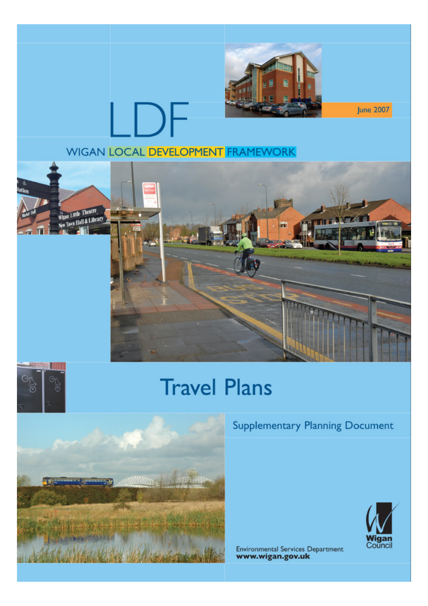

**June 2007** 

### **WIGAN LOCAL DEVELOPMENT FRAMEWORK**

LDF





## **Travel Plans**



### **Supplementary Planning Document**



**Environmental Services Department** www.wigan.gov.uk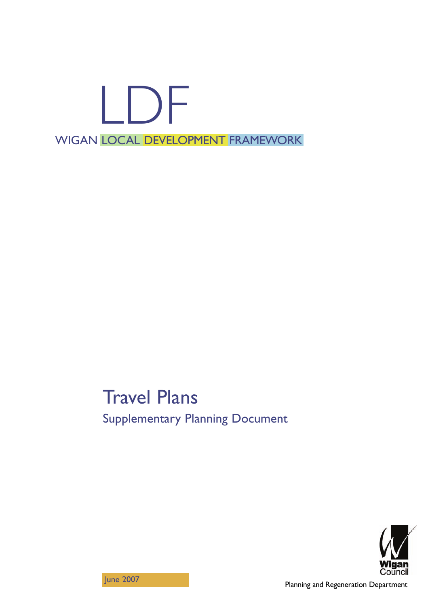# LDF WIGAN LOCAL DEVELOPMENT FRAMEWORK

## Travel Plans Supplementary Planning Document



June 2007

Planning and Regeneration Department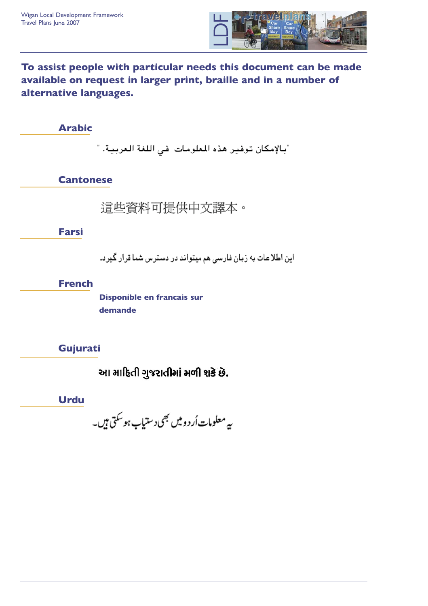

**To assist people with particular needs this document can be made available on request in larger print, braille and in a number of alternative languages.**

**Arabic**

"بالإمكان توفير هذه المعلومات في اللغة العربية. "

**Cantonese**

這些資料可提供中文譯本。

**Farsi**

این اطلاعات به زبان فارسی هم میتواند در دسترس شما قرار گیرد.

**French**

**Disponible en francais sur demande**

**Gujurati**

આ માહિતી ગુજરાતીમાં મળી શકે છે.

**Urdu**

ىيە معلومات أر د وييں بھى د ستياب ہوسكتى ہيں۔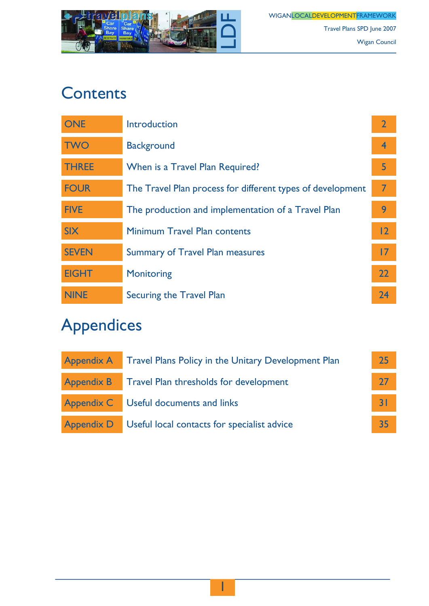

WIGANLOCAL<mark>DEVELOPMENT</mark>FRAMEWORK Travel Plans SPD June 2007 Wigan Council

### **Contents**

| <b>ONE</b>   | Introduction                                               | $\overline{2}$ |
|--------------|------------------------------------------------------------|----------------|
| <b>TWO</b>   | <b>Background</b>                                          | $\overline{4}$ |
| <b>THREE</b> | When is a Travel Plan Required?                            | 5              |
| <b>FOUR</b>  | The Travel Plan process for different types of development | $\overline{7}$ |
| <b>FIVE</b>  | The production and implementation of a Travel Plan         | 9              |
| <b>SIX</b>   | <b>Minimum Travel Plan contents</b>                        | 12             |
| <b>SEVEN</b> | <b>Summary of Travel Plan measures</b>                     | 17             |
| <b>EIGHT</b> | <b>Monitoring</b>                                          | 22             |
| <b>NINE</b>  | <b>Securing the Travel Plan</b>                            | 24             |

## Appendices

| <b>Appendix A</b> | <b>Travel Plans Policy in the Unitary Development Plan</b>    | 25 |
|-------------------|---------------------------------------------------------------|----|
|                   | <b>Appendix B</b> Travel Plan thresholds for development      | 27 |
|                   | Appendix C Useful documents and links                         |    |
|                   | <b>Appendix D</b> Useful local contacts for specialist advice | 35 |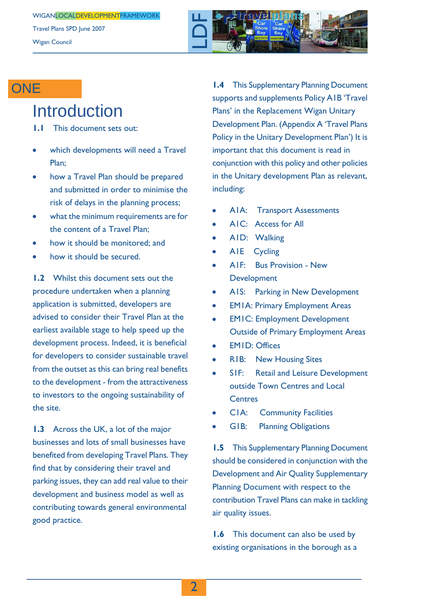Travel Plans SPD June 2007 Wigan Council



### **ONE**

### **Introduction**

- **1.1** This document sets out:
- which developments will need a Travel Plan;
- how a Travel Plan should be prepared and submitted in order to minimise the risk of delays in the planning process;
- what the minimum requirements are for the content of a Travel Plan;
- how it should be monitored; and
- how it should be secured.

**1.2** Whilst this document sets out the procedure undertaken when a planning application is submitted, developers are advised to consider their Travel Plan at the earliest available stage to help speed up the development process. Indeed, it is beneficial for developers to consider sustainable travel from the outset as this can bring real benefits to the development - from the attractiveness to investors to the ongoing sustainability of the site.

**1.3** Across the UK, a lot of the major businesses and lots of small businesses have benefited from developing Travel Plans. They find that by considering their travel and parking issues, they can add real value to their development and business model as well as contributing towards general environmental good practice.

**1.4** This Supplementary Planning Document supports and supplements Policy A1B 'Travel Plans' in the Replacement Wigan Unitary Development Plan. (Appendix A 'Travel Plans Policy in the Unitary Development Plan') It is important that this document is read in conjunction with this policy and other policies in the Unitary development Plan as relevant, including:

- A1A: Transport Assessments
- A1C: Access for All
- A1D: Walking
- A1E Cycling
- A1F: Bus Provision New Development
- A1S: Parking in New Development
- $\ddot{\phantom{a}}$ EM1A: Primary Employment Areas
- $\bullet$ EM1C: Employment Development Outside of Primary Employment Areas
- EM1D: Offices
- R1B: New Housing Sites
- S1F: Retail and Leisure Development outside Town Centres and Local **Centres**
- C1A: Community Facilities
- G1B: Planning Obligations

**1.5** This Supplementary Planning Document should be considered in conjunction with the Development and Air Quality Supplementary Planning Document with respect to the contribution Travel Plans can make in tackling air quality issues.

**1.6** This document can also be used by existing organisations in the borough as a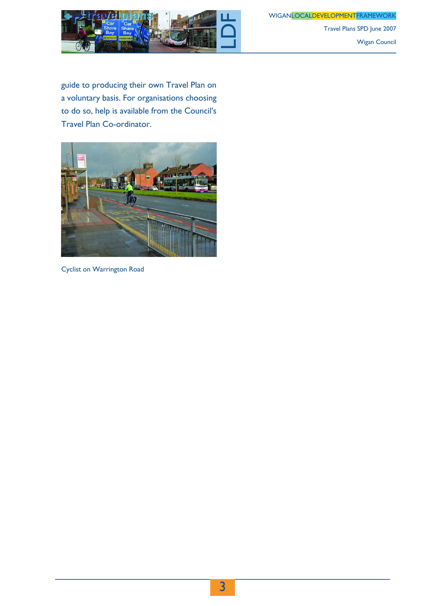WIGANLOCALDEVELOPMENTFRAMEWORK



Travel Plans SPD June 2007 Wigan Council

guide to producing their own Travel Plan on a voluntary basis. For organisations choosing to do so, help is available from the Council's Travel Plan Co-ordinator.



Cyclist on Warrington Road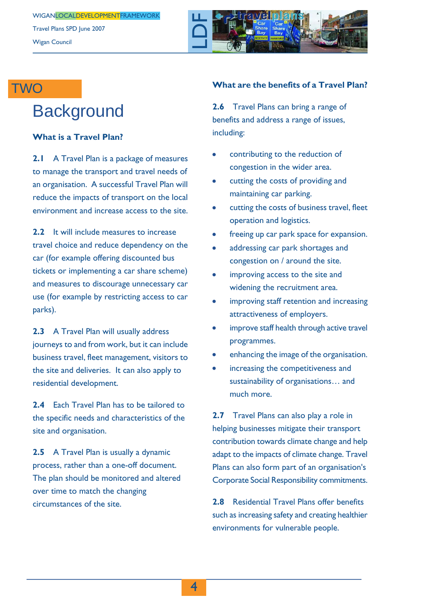

### **TWO**

## **Background**

#### **What is a Travel Plan?**

**2.1** A Travel Plan is a package of measures to manage the transport and travel needs of an organisation. A successful Travel Plan will reduce the impacts of transport on the local environment and increase access to the site.

**2.2** It will include measures to increase travel choice and reduce dependency on the car (for example offering discounted bus tickets or implementing a car share scheme) and measures to discourage unnecessary car use (for example by restricting access to car parks).

**2.3** A Travel Plan will usually address journeys to and from work, but it can include business travel, fleet management, visitors to the site and deliveries. It can also apply to residential development.

**2.4** Each Travel Plan has to be tailored to the specific needs and characteristics of the site and organisation.

**2.5** A Travel Plan is usually a dynamic process, rather than a one-off document. The plan should be monitored and altered over time to match the changing circumstances of the site.

#### **What are the benefits of a Travel Plan?**

**2.6** Travel Plans can bring a range of benefits and address a range of issues, including:

- contributing to the reduction of congestion in the wider area.
- cutting the costs of providing and maintaining car parking.
- cutting the costs of business travel, fleet operation and logistics.
- freeing up car park space for expansion.
- addressing car park shortages and  $\bullet$ congestion on / around the site.
- improving access to the site and widening the recruitment area.
- improving staff retention and increasing attractiveness of employers.
- $\bullet$ improve staff health through active travel programmes.
- enhancing the image of the organisation.
- increasing the competitiveness and sustainability of organisations… and much more.

**2.7** Travel Plans can also play a role in helping businesses mitigate their transport contribution towards climate change and help adapt to the impacts of climate change. Travel Plans can also form part of an organisation's Corporate Social Responsibility commitments.

**2.8** Residential Travel Plans offer benefits such as increasing safety and creating healthier environments for vulnerable people.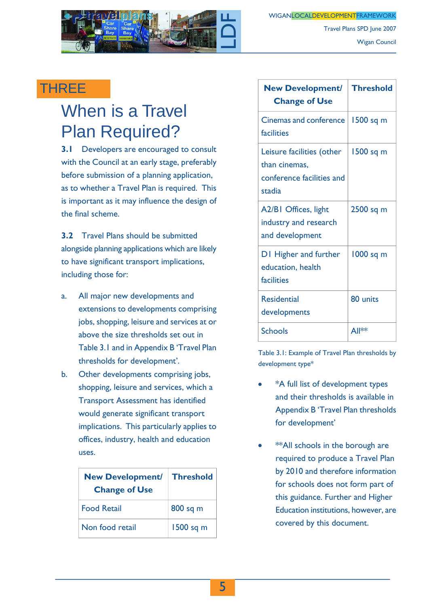

Wigan Council

Travel Plans SPD June 2007

### THREE

## When is a Travel Plan Required?

**3.1** Developers are encouraged to consult with the Council at an early stage, preferably before submission of a planning application, as to whether a Travel Plan is required. This is important as it may influence the design of the final scheme.

**3.2** Travel Plans should be submitted alongside planning applications which are likely to have significant transport implications, including those for:

- a. All major new developments and extensions to developments comprising jobs, shopping, leisure and services at or above the size thresholds set out in Table 3.1 and in Appendix B 'Travel Plan thresholds for development'.
- b. Other developments comprising jobs, shopping, leisure and services, which a Transport Assessment has identified would generate significant transport implications. This particularly applies to offices, industry, health and education uses.

| <b>New Development/</b><br><b>Change of Use</b> | <b>Threshold</b> |
|-------------------------------------------------|------------------|
| <b>Food Retail</b>                              | 800 sq m         |
| Non food retail                                 | 1500 sq m        |

| <b>New Development/</b><br><b>Change of Use</b>                                   | <b>Threshold</b> |
|-----------------------------------------------------------------------------------|------------------|
| <b>Cinemas and conference</b><br>facilities                                       | 1500 sq m        |
| Leisure facilities (other<br>than cinemas,<br>conference facilities and<br>stadia | 1500 sq m        |
| A2/BI Offices, light<br>industry and research<br>and development                  | 2500 sq m        |
| DI Higher and further<br>education, health<br>facilities                          | 1000 sq m        |
| <b>Residential</b><br>developments                                                | 80 units         |
| <b>Schools</b>                                                                    | All**            |

Table 3.1: Example of Travel Plan thresholds by development type\*

- \*A full list of development types and their thresholds is available in Appendix B 'Travel Plan thresholds for development'
- \*\*All schools in the borough are required to produce a Travel Plan by 2010 and therefore information for schools does not form part of this guidance. Further and Higher Education institutions, however, are covered by this document.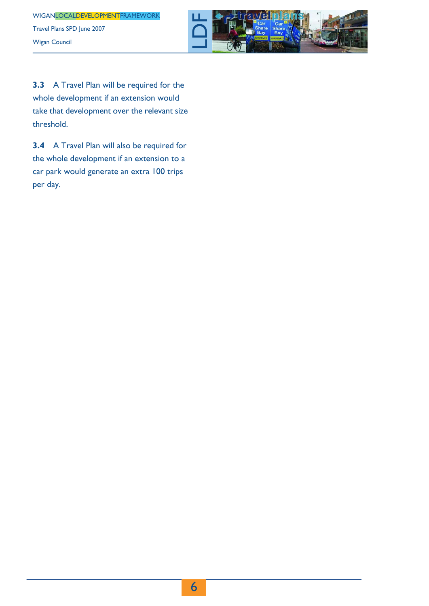

**3.3** A Travel Plan will be required for the whole development if an extension would take that development over the relevant size threshold.

**3.4** A Travel Plan will also be required for the whole development if an extension to a car park would generate an extra 100 trips per day.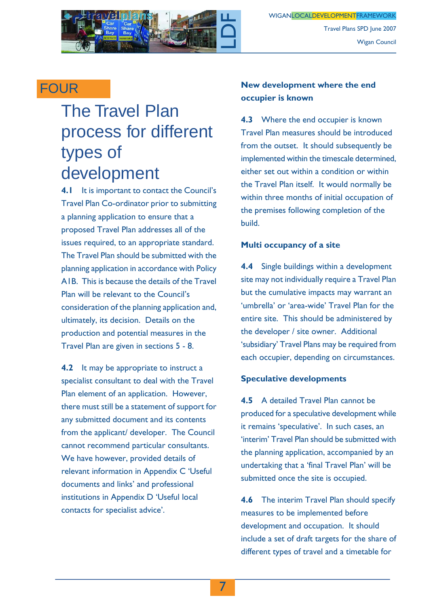

### **FOUR**

## The Travel Plan process for different types of development

**4.1** It is important to contact the Council's Travel Plan Co-ordinator prior to submitting a planning application to ensure that a proposed Travel Plan addresses all of the issues required, to an appropriate standard. The Travel Plan should be submitted with the planning application in accordance with Policy A1B. This is because the details of the Travel Plan will be relevant to the Council's consideration of the planning application and, ultimately, its decision. Details on the production and potential measures in the Travel Plan are given in sections 5 - 8.

**4.2** It may be appropriate to instruct a specialist consultant to deal with the Travel Plan element of an application. However, there must still be a statement of support for any submitted document and its contents from the applicant/ developer. The Council cannot recommend particular consultants. We have however, provided details of relevant information in Appendix C 'Useful documents and links' and professional institutions in Appendix D 'Useful local contacts for specialist advice'.

#### **New development where the end occupier is known**

**4.3** Where the end occupier is known Travel Plan measures should be introduced from the outset. It should subsequently be implemented within the timescale determined, either set out within a condition or within the Travel Plan itself. It would normally be within three months of initial occupation of the premises following completion of the build.

#### **Multi occupancy of a site**

**4.4** Single buildings within a development site may not individually require a Travel Plan but the cumulative impacts may warrant an 'umbrella' or 'area-wide' Travel Plan for the entire site. This should be administered by the developer / site owner. Additional 'subsidiary' Travel Plans may be required from each occupier, depending on circumstances.

#### **Speculative developments**

**4.5** A detailed Travel Plan cannot be produced for a speculative development while it remains 'speculative'. In such cases, an 'interim' Travel Plan should be submitted with the planning application, accompanied by an undertaking that a 'final Travel Plan' will be submitted once the site is occupied.

**4.6** The interim Travel Plan should specify measures to be implemented before development and occupation. It should include a set of draft targets for the share of different types of travel and a timetable for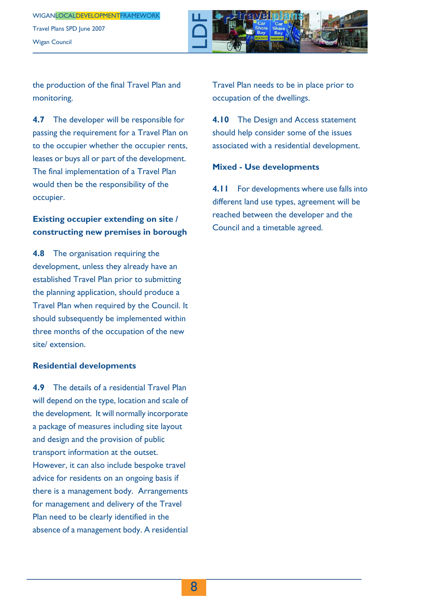WIGANLOCALDEVELOPMENTFRAMEWORK Travel Plans SPD June 2007 Wigan Council



the production of the final Travel Plan and monitoring.

**4.7** The developer will be responsible for passing the requirement for a Travel Plan on to the occupier whether the occupier rents, leases or buys all or part of the development. The final implementation of a Travel Plan would then be the responsibility of the occupier.

#### **Existing occupier extending on site / constructing new premises in borough**

**4.8** The organisation requiring the development, unless they already have an established Travel Plan prior to submitting the planning application, should produce a Travel Plan when required by the Council. It should subsequently be implemented within three months of the occupation of the new site/ extension.

#### **Residential developments**

**4.9** The details of a residential Travel Plan will depend on the type, location and scale of the development. It will normally incorporate a package of measures including site layout and design and the provision of public transport information at the outset. However, it can also include bespoke travel advice for residents on an ongoing basis if there is a management body. Arrangements for management and delivery of the Travel Plan need to be clearly identified in the absence of a management body. A residential Travel Plan needs to be in place prior to occupation of the dwellings.

**4.10** The Design and Access statement should help consider some of the issues associated with a residential development.

#### **Mixed - Use developments**

**4.11** For developments where use falls into different land use types, agreement will be reached between the developer and the Council and a timetable agreed.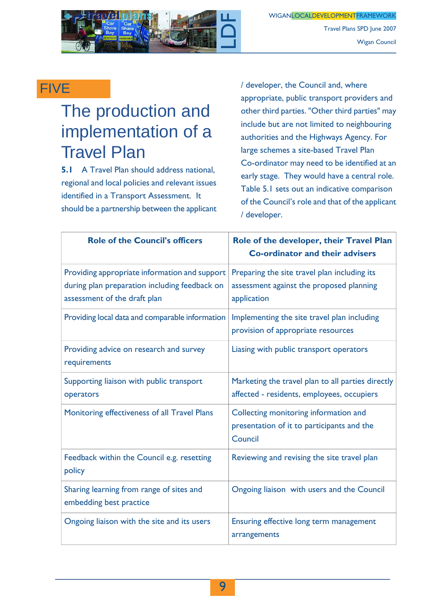

Travel Plans SPD June 2007 Wigan Council

### FIVE

## The production and implementation of a Travel Plan

**5.1** A Travel Plan should address national, regional and local policies and relevant issues identified in a Transport Assessment. It should be a partnership between the applicant / developer, the Council and, where appropriate, public transport providers and other third parties. "Other third parties" may include but are not limited to neighbouring authorities and the Highways Agency. For large schemes a site-based Travel Plan Co-ordinator may need to be identified at an early stage. They would have a central role. Table 5.1 sets out an indicative comparison of the Council's role and that of the applicant / developer.

| <b>Role of the Council's officers</b>                                                                                          | Role of the developer, their Travel Plan<br><b>Co-ordinator and their advisers</b>                      |
|--------------------------------------------------------------------------------------------------------------------------------|---------------------------------------------------------------------------------------------------------|
| Providing appropriate information and support<br>during plan preparation including feedback on<br>assessment of the draft plan | Preparing the site travel plan including its<br>assessment against the proposed planning<br>application |
| Providing local data and comparable information                                                                                | Implementing the site travel plan including<br>provision of appropriate resources                       |
| Providing advice on research and survey<br>requirements                                                                        | Liasing with public transport operators                                                                 |
| Supporting liaison with public transport<br>operators                                                                          | Marketing the travel plan to all parties directly<br>affected - residents, employees, occupiers         |
| Monitoring effectiveness of all Travel Plans                                                                                   | Collecting monitoring information and<br>presentation of it to participants and the<br>Council          |
| Feedback within the Council e.g. resetting<br>policy                                                                           | Reviewing and revising the site travel plan                                                             |
| Sharing learning from range of sites and<br>embedding best practice                                                            | Ongoing liaison with users and the Council                                                              |
| Ongoing liaison with the site and its users                                                                                    | Ensuring effective long term management<br>arrangements                                                 |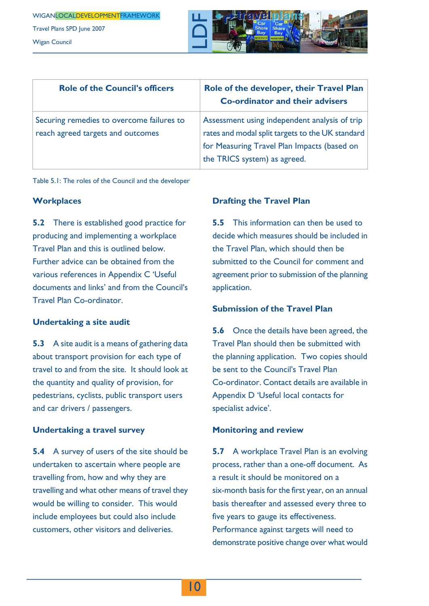Wigan Council

LDF

| <b>Role of the Council's officers</b>                                          | Role of the developer, their Travel Plan<br><b>Co-ordinator and their advisers</b>                                                                                               |
|--------------------------------------------------------------------------------|----------------------------------------------------------------------------------------------------------------------------------------------------------------------------------|
| Securing remedies to overcome failures to<br>reach agreed targets and outcomes | Assessment using independent analysis of trip<br>rates and modal split targets to the UK standard<br>for Measuring Travel Plan Impacts (based on<br>the TRICS system) as agreed. |

Table 5.1: The roles of the Council and the developer

#### **Workplaces**

**5.2** There is established good practice for producing and implementing a workplace Travel Plan and this is outlined below. Further advice can be obtained from the various references in Appendix C 'Useful documents and links' and from the Council's Travel Plan Co-ordinator.

#### **Undertaking a site audit**

**5.3** A site audit is a means of gathering data about transport provision for each type of travel to and from the site. It should look at the quantity and quality of provision, for pedestrians, cyclists, public transport users and car drivers / passengers.

#### **Undertaking a travel survey**

**5.4** A survey of users of the site should be undertaken to ascertain where people are travelling from, how and why they are travelling and what other means of travel they would be willing to consider. This would include employees but could also include customers, other visitors and deliveries.

#### **Drafting the Travel Plan**

**5.5** This information can then be used to decide which measures should be included in the Travel Plan, which should then be submitted to the Council for comment and agreement prior to submission of the planning application.

#### **Submission of the Travel Plan**

**5.6** Once the details have been agreed, the Travel Plan should then be submitted with the planning application. Two copies should be sent to the Council's Travel Plan Co-ordinator. Contact details are available in Appendix D 'Useful local contacts for specialist advice'.

#### **Monitoring and review**

**5.7** A workplace Travel Plan is an evolving process, rather than a one-off document. As a result it should be monitored on a six-month basis for the first year, on an annual basis thereafter and assessed every three to five years to gauge its effectiveness. Performance against targets will need to demonstrate positive change over what would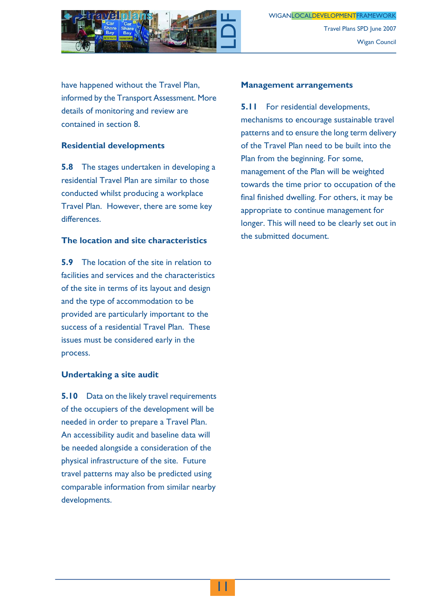

have happened without the Travel Plan, informed by the Transport Assessment. More details of monitoring and review are contained in section 8.

#### **Residential developments**

**5.8** The stages undertaken in developing a residential Travel Plan are similar to those conducted whilst producing a workplace Travel Plan. However, there are some key differences.

#### **The location and site characteristics**

**5.9** The location of the site in relation to facilities and services and the characteristics of the site in terms of its layout and design and the type of accommodation to be provided are particularly important to the success of a residential Travel Plan. These issues must be considered early in the process.

#### **Undertaking a site audit**

**5.10** Data on the likely travel requirements of the occupiers of the development will be needed in order to prepare a Travel Plan. An accessibility audit and baseline data will be needed alongside a consideration of the physical infrastructure of the site. Future travel patterns may also be predicted using comparable information from similar nearby developments.

#### **Management arrangements**

**5.11** For residential developments, mechanisms to encourage sustainable travel patterns and to ensure the long term delivery of the Travel Plan need to be built into the Plan from the beginning. For some, management of the Plan will be weighted towards the time prior to occupation of the final finished dwelling. For others, it may be appropriate to continue management for longer. This will need to be clearly set out in the submitted document.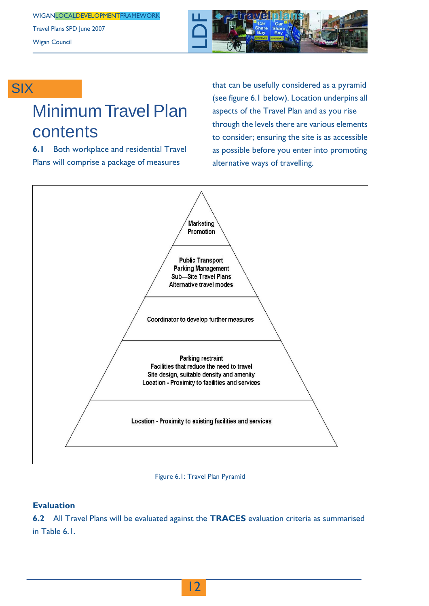Travel Plans SPD June 2007 Wigan Council



### **SIX**

## Minimum Travel Plan contents

**6.1** Both workplace and residential Travel Plans will comprise a package of measures

that can be usefully considered as a pyramid (see figure 6.1 below). Location underpins all aspects of the Travel Plan and as you rise through the levels there are various elements to consider; ensuring the site is as accessible as possible before you enter into promoting alternative ways of travelling.





#### **Evaluation**

**6.2** All Travel Plans will be evaluated against the **TRACES** evaluation criteria as summarised in Table 6.1.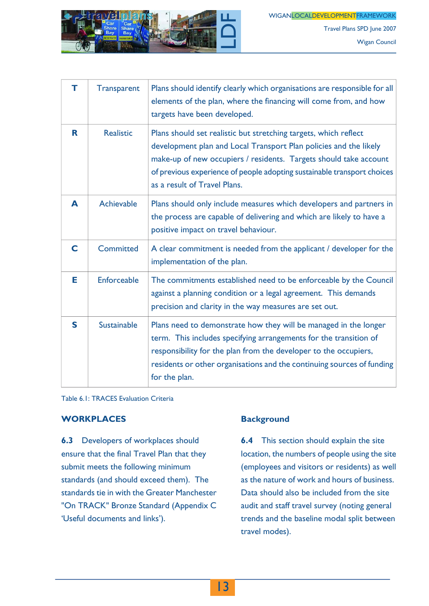WIGANLOCALDEVELOPMENTFRAMEWORK



Travel Plans SPD June 2007 Wigan Council

| т | <b>Transparent</b> | Plans should identify clearly which organisations are responsible for all<br>elements of the plan, where the financing will come from, and how<br>targets have been developed.                                                                                                                                        |
|---|--------------------|-----------------------------------------------------------------------------------------------------------------------------------------------------------------------------------------------------------------------------------------------------------------------------------------------------------------------|
| R | <b>Realistic</b>   | Plans should set realistic but stretching targets, which reflect<br>development plan and Local Transport Plan policies and the likely<br>make-up of new occupiers / residents. Targets should take account<br>of previous experience of people adopting sustainable transport choices<br>as a result of Travel Plans. |
| A | Achievable         | Plans should only include measures which developers and partners in<br>the process are capable of delivering and which are likely to have a<br>positive impact on travel behaviour.                                                                                                                                   |
| C | <b>Committed</b>   | A clear commitment is needed from the applicant / developer for the<br>implementation of the plan.                                                                                                                                                                                                                    |
| Е | <b>Enforceable</b> | The commitments established need to be enforceable by the Council<br>against a planning condition or a legal agreement. This demands<br>precision and clarity in the way measures are set out.                                                                                                                        |
| S | Sustainable        | Plans need to demonstrate how they will be managed in the longer<br>term. This includes specifying arrangements for the transition of<br>responsibility for the plan from the developer to the occupiers,<br>residents or other organisations and the continuing sources of funding<br>for the plan.                  |

Table 6.1: TRACES Evaluation Criteria

#### **WORKPLACES**

**6.3** Developers of workplaces should ensure that the final Travel Plan that they submit meets the following minimum standards (and should exceed them). The standards tie in with the Greater Manchester "On TRACK" Bronze Standard (Appendix C 'Useful documents and links').

#### **Background**

**6.4** This section should explain the site location, the numbers of people using the site (employees and visitors or residents) as well as the nature of work and hours of business. Data should also be included from the site audit and staff travel survey (noting general trends and the baseline modal split between travel modes).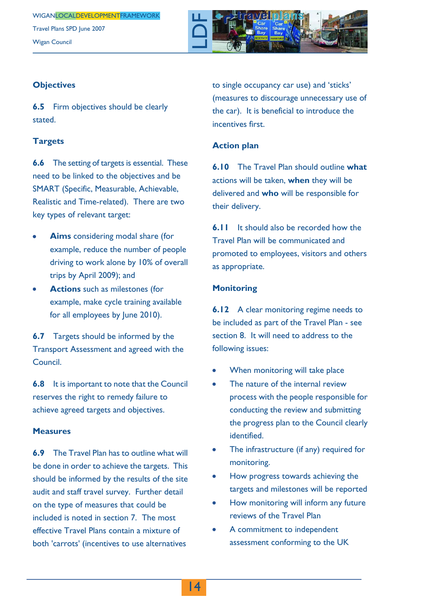

#### **Objectives**

**6.5** Firm objectives should be clearly stated.

#### **Targets**

**6.6** The setting of targets is essential. These need to be linked to the objectives and be SMART (Specific, Measurable, Achievable, Realistic and Time-related). There are two key types of relevant target:

- **Aims** considering modal share (for example, reduce the number of people driving to work alone by 10% of overall trips by April 2009); and
- **Actions** such as milestones (for example, make cycle training available for all employees by June 2010).

**6.7** Targets should be informed by the Transport Assessment and agreed with the Council.

**6.8** It is important to note that the Council reserves the right to remedy failure to achieve agreed targets and objectives.

#### **Measures**

**6.9** The Travel Plan has to outline what will be done in order to achieve the targets. This should be informed by the results of the site audit and staff travel survey. Further detail on the type of measures that could be included is noted in section 7. The most effective Travel Plans contain a mixture of both 'carrots' (incentives to use alternatives

to single occupancy car use) and 'sticks' (measures to discourage unnecessary use of the car). It is beneficial to introduce the incentives first.

#### **Action plan**

**6.10** The Travel Plan should outline **what** actions will be taken, **when** they will be delivered and **who** will be responsible for their delivery.

**6.11** It should also be recorded how the Travel Plan will be communicated and promoted to employees, visitors and others as appropriate.

#### **Monitoring**

**6.12** A clear monitoring regime needs to be included as part of the Travel Plan - see section 8. It will need to address to the following issues:

- When monitoring will take place
- The nature of the internal review process with the people responsible for conducting the review and submitting the progress plan to the Council clearly identified.
- The infrastructure (if any) required for  $\bullet$ monitoring.
- How progress towards achieving the targets and milestones will be reported
- How monitoring will inform any future reviews of the Travel Plan
- A commitment to independent assessment conforming to the UK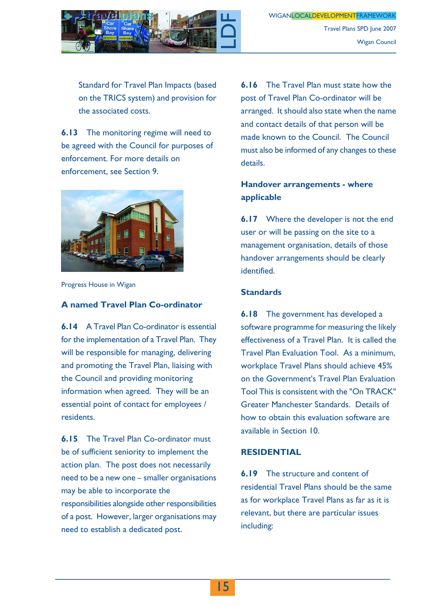

Travel Plans SPD June 2007 Wigan Council

Standard for Travel Plan Impacts (based on the TRICS system) and provision for the associated costs.

**6.13** The monitoring regime will need to be agreed with the Council for purposes of enforcement. For more details on enforcement, see Section 9.



Progress House in Wigan

#### **A named Travel Plan Co-ordinator**

**6.14** A Travel Plan Co-ordinator is essential for the implementation of a Travel Plan. They will be responsible for managing, delivering and promoting the Travel Plan, liaising with the Council and providing monitoring information when agreed. They will be an essential point of contact for employees / residents.

**6.15** The Travel Plan Co-ordinator must be of sufficient seniority to implement the action plan. The post does not necessarily need to be a new one – smaller organisations may be able to incorporate the responsibilities alongside other responsibilities of a post. However, larger organisations may need to establish a dedicated post.

**6.16** The Travel Plan must state how the post of Travel Plan Co-ordinator will be arranged. It should also state when the name and contact details of that person will be made known to the Council. The Council must also be informed of any changes to these details.

#### **Handover arrangements - where applicable**

**6.17** Where the developer is not the end user or will be passing on the site to a management organisation, details of those handover arrangements should be clearly identified.

#### **Standards**

**6.18** The government has developed a software programme for measuring the likely effectiveness of a Travel Plan. It is called the Travel Plan Evaluation Tool. As a minimum, workplace Travel Plans should achieve 45% on the Government's Travel Plan Evaluation Tool This is consistent with the "On TRACK" Greater Manchester Standards. Details of how to obtain this evaluation software are available in Section 10.

#### **RESIDENTIAL**

**6.19** The structure and content of residential Travel Plans should be the same as for workplace Travel Plans as far as it is relevant, but there are particular issues including: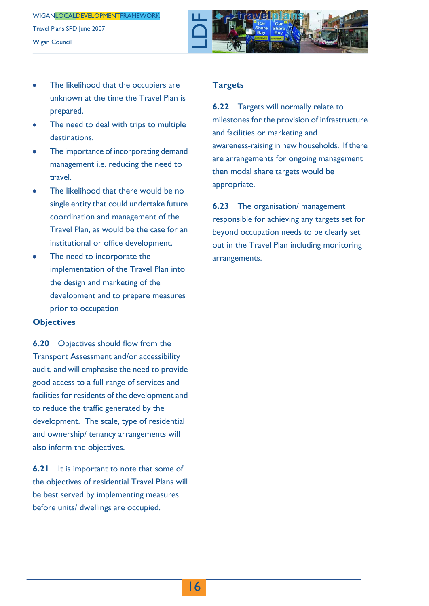

- The likelihood that the occupiers are unknown at the time the Travel Plan is prepared.
- The need to deal with trips to multiple destinations.
- The importance of incorporating demand management i.e. reducing the need to travel.
- The likelihood that there would be no single entity that could undertake future coordination and management of the Travel Plan, as would be the case for an institutional or office development.
- The need to incorporate the implementation of the Travel Plan into the design and marketing of the development and to prepare measures prior to occupation

#### **Objectives**

**6.20** Objectives should flow from the Transport Assessment and/or accessibility audit, and will emphasise the need to provide good access to a full range of services and facilities for residents of the development and to reduce the traffic generated by the development. The scale, type of residential and ownership/ tenancy arrangements will also inform the objectives.

**6.21** It is important to note that some of the objectives of residential Travel Plans will be best served by implementing measures before units/ dwellings are occupied.

#### **Targets**

**6.22** Targets will normally relate to milestones for the provision of infrastructure and facilities or marketing and awareness-raising in new households. If there are arrangements for ongoing management then modal share targets would be appropriate.

**6.23** The organisation/ management responsible for achieving any targets set for beyond occupation needs to be clearly set out in the Travel Plan including monitoring arrangements.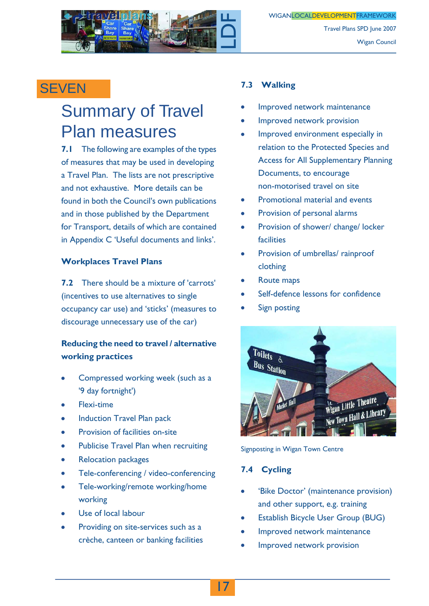

### **SEVEN**

### Summary of Travel Plan measures

**7.1** The following are examples of the types of measures that may be used in developing a Travel Plan. The lists are not prescriptive and not exhaustive. More details can be found in both the Council's own publications and in those published by the Department for Transport, details of which are contained in Appendix C 'Useful documents and links'.

#### **Workplaces Travel Plans**

**7.2** There should be a mixture of 'carrots' (incentives to use alternatives to single occupancy car use) and 'sticks' (measures to discourage unnecessary use of the car)

#### **Reducing the need to travel / alternative working practices**

- Compressed working week (such as a '9 day fortnight')
- Flexi-time
- Induction Travel Plan pack
- Provision of facilities on-site
- Publicise Travel Plan when recruiting
- Relocation packages
- Tele-conferencing / video-conferencing
- Tele-working/remote working/home working
- Use of local labour
- Providing on site-services such as a crèche, canteen or banking facilities

#### **7.3 Walking**

- Improved network maintenance
- Improved network provision
- Improved environment especially in relation to the Protected Species and Access for All Supplementary Planning Documents, to encourage non-motorised travel on site
- Promotional material and events
- Provision of personal alarms  $\bullet$
- Provision of shower/ change/ locker facilities
- Provision of umbrellas/ rainproof clothing
- Route maps
- Self-defence lessons for confidence
- Sign posting



Signposting in Wigan Town Centre

#### **7.4 Cycling**

- 'Bike Doctor' (maintenance provision) and other support, e.g. training
- Establish Bicycle User Group (BUG)
- Improved network maintenance
- Improved network provision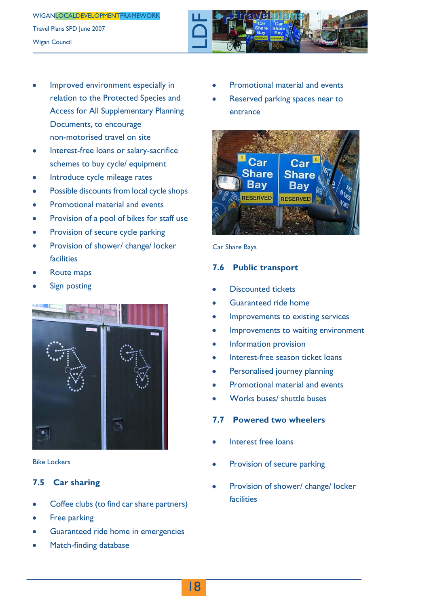

- Improved environment especially in relation to the Protected Species and Access for All Supplementary Planning Documents, to encourage non-motorised travel on site
- Interest-free loans or salary-sacrifice schemes to buy cycle/ equipment
- Introduce cycle mileage rates
- Possible discounts from local cycle shops
- Promotional material and events
- Provision of a pool of bikes for staff use
- Provision of secure cycle parking
- Provision of shower/ change/ locker facilities
- Route maps
- Sign posting



Bike Lockers

#### **7.5 Car sharing**

- Coffee clubs (to find car share partners)
- Free parking
- Guaranteed ride home in emergencies
- Match-finding database
- Promotional material and events
- Reserved parking spaces near to entrance



Car Share Bays

#### **7.6 Public transport**

- Discounted tickets
- Guaranteed ride home
- Improvements to existing services
- Improvements to waiting environment  $\bullet$
- Information provision
- Interest-free season ticket loans
- Personalised journey planning
- Promotional material and events
- Works buses/ shuttle buses

#### **7.7 Powered two wheelers**

- Interest free loans
- Provision of secure parking
- Provision of shower/ change/ locker facilities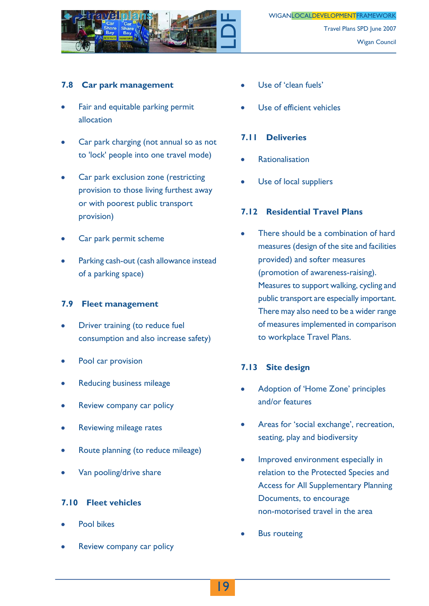

#### **7.8 Car park management**

- Fair and equitable parking permit allocation
- Car park charging (not annual so as not to 'lock' people into one travel mode)
- Car park exclusion zone (restricting provision to those living furthest away or with poorest public transport provision)
- Car park permit scheme
- Parking cash-out (cash allowance instead of a parking space)

#### **7.9 Fleet management**

- Driver training (to reduce fuel consumption and also increase safety)
- Pool car provision
- Reducing business mileage
- Review company car policy
- Reviewing mileage rates
- Route planning (to reduce mileage)
- Van pooling/drive share

#### **7.10 Fleet vehicles**

- Pool bikes
- Review company car policy
- Use of 'clean fuels'
- Use of efficient vehicles

#### **7.11 Deliveries**

- Rationalisation
- Use of local suppliers

#### **7.12 Residential Travel Plans**

There should be a combination of hard measures (design of the site and facilities provided) and softer measures (promotion of awareness-raising). Measures to support walking, cycling and public transport are especially important. There may also need to be a wider range of measures implemented in comparison to workplace Travel Plans.

#### **7.13 Site design**

- Adoption of 'Home Zone' principles and/or features
- Areas for 'social exchange', recreation, seating, play and biodiversity
- Improved environment especially in relation to the Protected Species and Access for All Supplementary Planning Documents, to encourage non-motorised travel in the area
- Bus routeing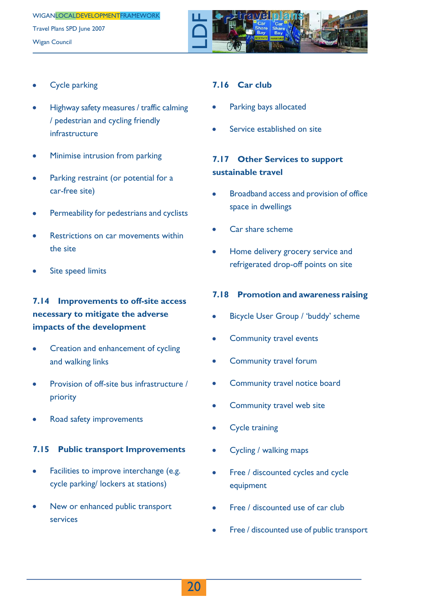

- Cycle parking
- Highway safety measures / traffic calming / pedestrian and cycling friendly infrastructure
- Minimise intrusion from parking
- Parking restraint (or potential for a car-free site)
- Permeability for pedestrians and cyclists
- Restrictions on car movements within the site
- Site speed limits

#### **7.14 Improvements to off-site access necessary to mitigate the adverse impacts of the development**

- Creation and enhancement of cycling and walking links
- Provision of off-site bus infrastructure / priority
- Road safety improvements

#### **7.15 Public transport Improvements**

- Facilities to improve interchange (e.g. cycle parking/ lockers at stations)
- New or enhanced public transport services

#### **7.16 Car club**

- Parking bays allocated
- Service established on site

#### **7.17 Other Services to support sustainable travel**

- Broadband access and provision of office space in dwellings
- Car share scheme
- Home delivery grocery service and refrigerated drop-off points on site

#### **7.18 Promotion and awareness raising**

- Bicycle User Group / 'buddy' scheme
- Community travel events
- Community travel forum
- Community travel notice board
- Community travel web site
- Cycle training
- Cycling / walking maps
- Free / discounted cycles and cycle equipment
- Free / discounted use of car club
- Free / discounted use of public transport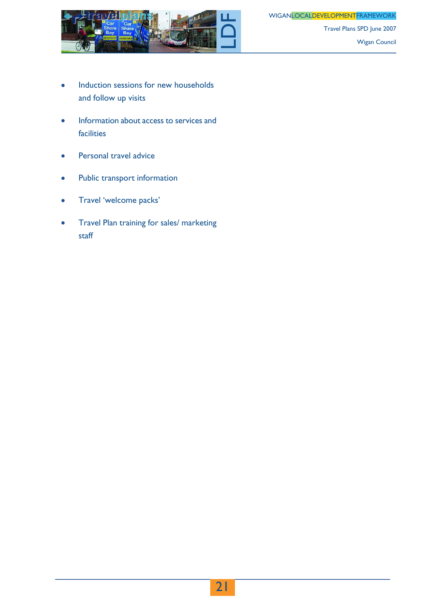WIGANLOCALDEVELOPMENTFRAMEWORK



Travel Plans SPD June 2007 Wigan Council

- Induction sessions for new households and follow up visits
- Information about access to services and  $\bullet$ facilities
- Personal travel advice
- Public transport information ò
- Travel 'welcome packs'  $\bullet$
- Travel Plan training for sales/ marketing staff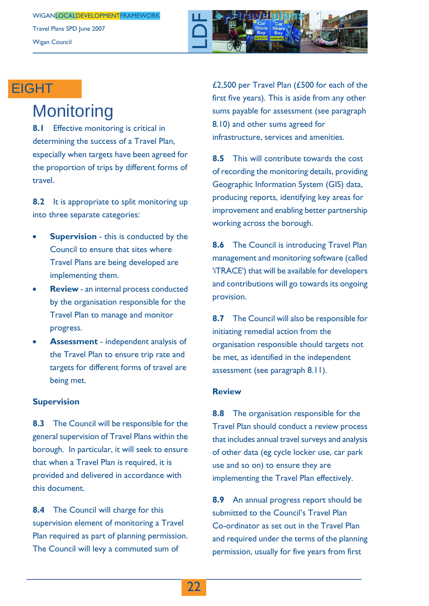

### **EIGHT**

### **Monitoring**

**8.1** Effective monitoring is critical in determining the success of a Travel Plan, especially when targets have been agreed for the proportion of trips by different forms of travel.

**8.2** It is appropriate to split monitoring up into three separate categories:

- **Supervision** this is conducted by the Council to ensure that sites where Travel Plans are being developed are implementing them.
- **Review** an internal process conducted by the organisation responsible for the Travel Plan to manage and monitor progress.
- **Assessment** independent analysis of the Travel Plan to ensure trip rate and targets for different forms of travel are being met.

#### **Supervision**

**8.3** The Council will be responsible for the general supervision of Travel Plans within the borough. In particular, it will seek to ensure that when a Travel Plan is required, it is provided and delivered in accordance with this document.

**8.4** The Council will charge for this supervision element of monitoring a Travel Plan required as part of planning permission. The Council will levy a commuted sum of

£2,500 per Travel Plan (£500 for each of the first five years). This is aside from any other sums payable for assessment (see paragraph 8.10) and other sums agreed for infrastructure, services and amenities.

**8.5** This will contribute towards the cost of recording the monitoring details, providing Geographic Information System (GIS) data, producing reports, identifying key areas for improvement and enabling better partnership working across the borough.

**8.6** The Council is introducing Travel Plan management and monitoring software (called 'iTRACE') that will be available for developers and contributions will go towards its ongoing provision.

**8.7** The Council will also be responsible for initiating remedial action from the organisation responsible should targets not be met, as identified in the independent assessment (see paragraph 8.11).

#### **Review**

**8.8** The organisation responsible for the Travel Plan should conduct a review process that includes annual travel surveys and analysis of other data (eg cycle locker use, car park use and so on) to ensure they are implementing the Travel Plan effectively.

**8.9** An annual progress report should be submitted to the Council's Travel Plan Co-ordinator as set out in the Travel Plan and required under the terms of the planning permission, usually for five years from first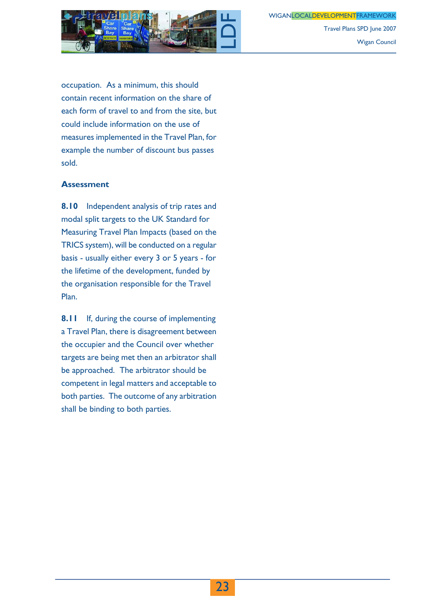WIGANLOCALDEVELOPMENTFRAMEWORK



Wigan Council

Travel Plans SPD June 2007

occupation. As a minimum, this should contain recent information on the share of each form of travel to and from the site, but could include information on the use of measures implemented in the Travel Plan, for example the number of discount bus passes sold.

#### **Assessment**

**8.10** Independent analysis of trip rates and modal split targets to the UK Standard for Measuring Travel Plan Impacts (based on the TRICS system), will be conducted on a regular basis - usually either every 3 or 5 years - for the lifetime of the development, funded by the organisation responsible for the Travel Plan.

**8.11** If, during the course of implementing a Travel Plan, there is disagreement between the occupier and the Council over whether targets are being met then an arbitrator shall be approached. The arbitrator should be competent in legal matters and acceptable to both parties. The outcome of any arbitration shall be binding to both parties.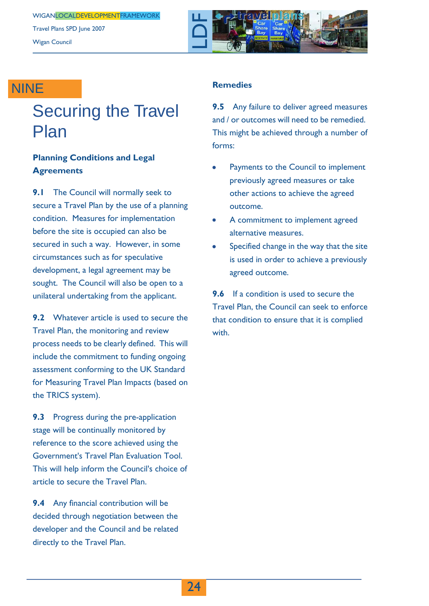Travel Plans SPD June 2007 Wigan Council



### NINE

## Securing the Travel Plan

#### **Planning Conditions and Legal Agreements**

**9.1** The Council will normally seek to secure a Travel Plan by the use of a planning condition. Measures for implementation before the site is occupied can also be secured in such a way. However, in some circumstances such as for speculative development, a legal agreement may be sought. The Council will also be open to a unilateral undertaking from the applicant.

**9.2** Whatever article is used to secure the Travel Plan, the monitoring and review process needs to be clearly defined. This will include the commitment to funding ongoing assessment conforming to the UK Standard for Measuring Travel Plan Impacts (based on the TRICS system).

**9.3** Progress during the pre-application stage will be continually monitored by reference to the score achieved using the Government's Travel Plan Evaluation Tool. This will help inform the Council's choice of article to secure the Travel Plan.

**9.4** Any financial contribution will be decided through negotiation between the developer and the Council and be related directly to the Travel Plan.

#### **Remedies**

**9.5** Any failure to deliver agreed measures and / or outcomes will need to be remedied. This might be achieved through a number of forms:

- Payments to the Council to implement previously agreed measures or take other actions to achieve the agreed outcome.
- A commitment to implement agreed alternative measures.
- Specified change in the way that the site is used in order to achieve a previously agreed outcome.

**9.6** If a condition is used to secure the Travel Plan, the Council can seek to enforce that condition to ensure that it is complied with.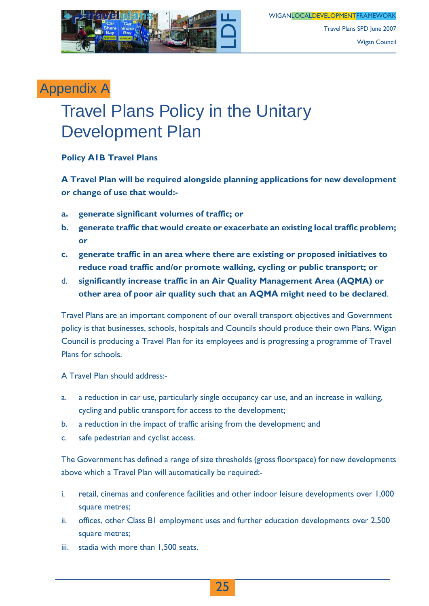

Travel Plans SPD June 2007 Wigan Council

### Appendix A

## Travel Plans Policy in the Unitary Development Plan

#### **Policy A1B Travel Plans**

**A Travel Plan will be required alongside planning applications for new development or change of use that would:-**

- **a. generate significant volumes of traffic; or**
- **b. generate traffic that would create or exacerbate an existing local traffic problem; or**
- **c. generate traffic in an area where there are existing or proposed initiatives to reduce road traffic and/or promote walking, cycling or public transport; or**
- d. **significantly increase traffic in an Air Quality Management Area (AQMA) or other area of poor air quality such that an AQMA might need to be declared**.

Travel Plans are an important component of our overall transport objectives and Government policy is that businesses, schools, hospitals and Councils should produce their own Plans. Wigan Council is producing a Travel Plan for its employees and is progressing a programme of Travel Plans for schools.

A Travel Plan should address:-

- a. a reduction in car use, particularly single occupancy car use, and an increase in walking, cycling and public transport for access to the development;
- b. a reduction in the impact of traffic arising from the development; and
- c. safe pedestrian and cyclist access.

The Government has defined a range of size thresholds (gross floorspace) for new developments above which a Travel Plan will automatically be required:-

- i. retail, cinemas and conference facilities and other indoor leisure developments over 1,000 square metres;
- ii. offices, other Class B1 employment uses and further education developments over 2,500 square metres;
- iii. stadia with more than 1,500 seats.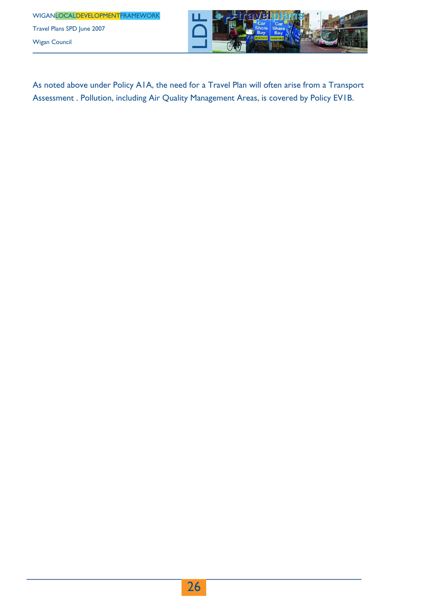WIGANLOCALDEVELOPMENTFRAMEWORK Travel Plans SPD June 2007

Wigan Council



As noted above under Policy A1A, the need for a Travel Plan will often arise from a Transport Assessment . Pollution, including Air Quality Management Areas, is covered by Policy EV1B.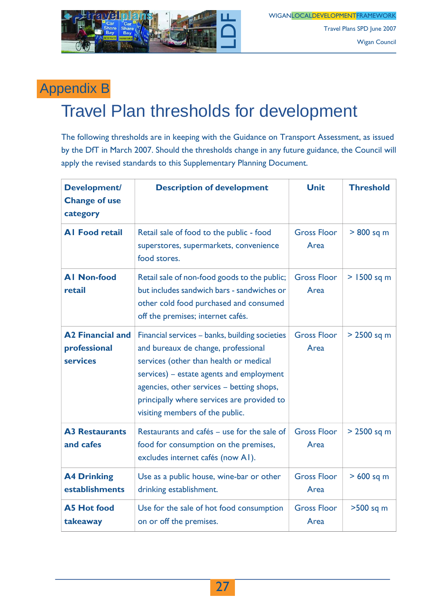

Travel Plans SPD June 2007 Wigan Council

### Appendix B

## Travel Plan thresholds for development

The following thresholds are in keeping with the Guidance on Transport Assessment, as issued by the DfT in March 2007. Should the thresholds change in any future guidance, the Council will apply the revised standards to this Supplementary Planning Document.

| <b>Development/</b><br><b>Change of use</b><br>category    | <b>Description of development</b>                                                                                                                                                                                                                                                                         | <b>Unit</b>                | <b>Threshold</b> |
|------------------------------------------------------------|-----------------------------------------------------------------------------------------------------------------------------------------------------------------------------------------------------------------------------------------------------------------------------------------------------------|----------------------------|------------------|
| <b>Al Food retail</b>                                      | Retail sale of food to the public - food<br>superstores, supermarkets, convenience<br>food stores.                                                                                                                                                                                                        | <b>Gross Floor</b><br>Area | $> 800$ sq m     |
| <b>AI Non-food</b><br>retail                               | Retail sale of non-food goods to the public;<br>but includes sandwich bars - sandwiches or<br>other cold food purchased and consumed<br>off the premises; internet cafés.                                                                                                                                 | <b>Gross Floor</b><br>Area | $> 1500$ sq m    |
| <b>A2 Financial and</b><br>professional<br><b>services</b> | Financial services - banks, building societies<br>and bureaux de change, professional<br>services (other than health or medical<br>services) - estate agents and employment<br>agencies, other services - betting shops,<br>principally where services are provided to<br>visiting members of the public. | <b>Gross Floor</b><br>Area | $> 2500$ sq m    |
| <b>A3 Restaurants</b><br>and cafes                         | Restaurants and cafés - use for the sale of<br>food for consumption on the premises,<br>excludes internet cafés (now A1).                                                                                                                                                                                 | <b>Gross Floor</b><br>Area | $> 2500$ sq m    |
| <b>A4 Drinking</b><br>establishments                       | Use as a public house, wine-bar or other<br>drinking establishment.                                                                                                                                                                                                                                       | <b>Gross Floor</b><br>Area | $>600$ sq m      |
| <b>A5 Hot food</b><br>takeaway                             | Use for the sale of hot food consumption<br>on or off the premises.                                                                                                                                                                                                                                       | <b>Gross Floor</b><br>Area | >500 sq m        |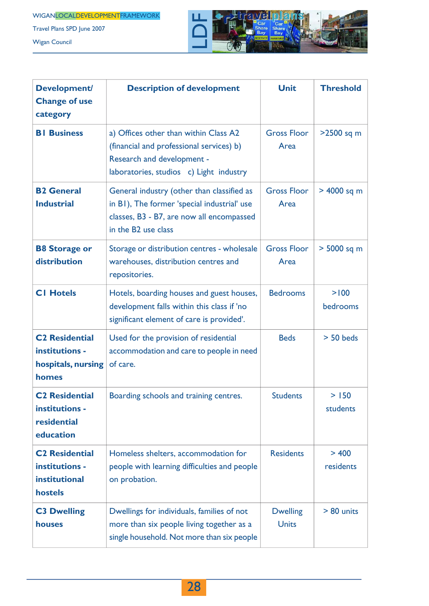Travel Plans SPD June 2007

Wigan Council



| <b>Development/</b><br><b>Change of use</b><br>category                           | <b>Description of development</b>                                                                                                                                         | <b>Unit</b>                     | <b>Threshold</b>   |
|-----------------------------------------------------------------------------------|---------------------------------------------------------------------------------------------------------------------------------------------------------------------------|---------------------------------|--------------------|
| <b>BI</b> Business                                                                | a) Offices other than within Class A2<br>(financial and professional services) b)<br><b>Research and development -</b><br>laboratories, studios c) Light industry         | <b>Gross Floor</b><br>Area      | >2500 sq m         |
| <b>B2 General</b><br><b>Industrial</b>                                            | General industry (other than classified as<br>in B1), The former 'special industrial' use<br>classes, B3 - B7, are now all encompassed<br>in the B <sub>2</sub> use class | <b>Gross Floor</b><br>Area      | > 4000 sq m        |
| <b>B8 Storage or</b><br>distribution                                              | Storage or distribution centres - wholesale<br>warehouses, distribution centres and<br>repositories.                                                                      | <b>Gross Floor</b><br>Area      | > 5000 sq m        |
| <b>CI Hotels</b>                                                                  | Hotels, boarding houses and guest houses,<br>development falls within this class if 'no<br>significant element of care is provided'.                                      | <b>Bedrooms</b>                 | > 100<br>bedrooms  |
| <b>C<sub>2</sub></b> Residential<br>institutions -<br>hospitals, nursing<br>homes | Used for the provision of residential<br>accommodation and care to people in need<br>of care.                                                                             | <b>Beds</b>                     | $> 50$ beds        |
| <b>C2 Residential</b><br>institutions -<br>residential<br>education               | Boarding schools and training centres.                                                                                                                                    | <b>Students</b>                 | > 150<br>students  |
| <b>C<sub>2</sub></b> Residential<br>institutions -<br>institutional<br>hostels    | Homeless shelters, accommodation for<br>people with learning difficulties and people<br>on probation.                                                                     | <b>Residents</b>                | > 400<br>residents |
| <b>C3 Dwelling</b><br>houses                                                      | Dwellings for individuals, families of not<br>more than six people living together as a<br>single household. Not more than six people                                     | <b>Dwelling</b><br><b>Units</b> | $> 80$ units       |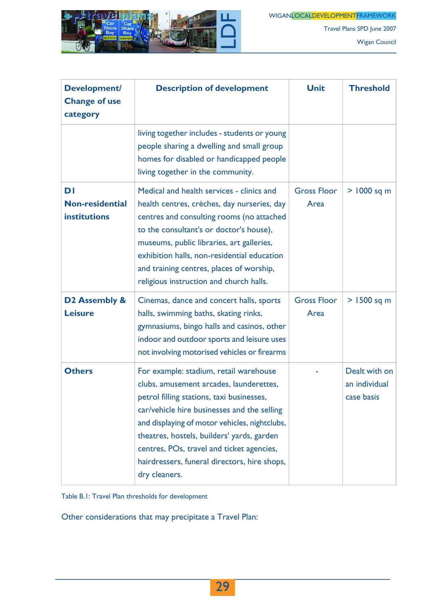

Wigan Council

Travel Plans SPD June 2007

| <b>Development/</b><br><b>Change of use</b><br>category | <b>Description of development</b>                                                                                                                                                                                                                                                                                                                                                          | <b>Unit</b>                | <b>Threshold</b>                             |
|---------------------------------------------------------|--------------------------------------------------------------------------------------------------------------------------------------------------------------------------------------------------------------------------------------------------------------------------------------------------------------------------------------------------------------------------------------------|----------------------------|----------------------------------------------|
|                                                         | living together includes - students or young<br>people sharing a dwelling and small group<br>homes for disabled or handicapped people<br>living together in the community.                                                                                                                                                                                                                 |                            |                                              |
| DI<br><b>Non-residential</b><br><b>institutions</b>     | Medical and health services - clinics and<br>health centres, crèches, day nurseries, day<br>centres and consulting rooms (no attached<br>to the consultant's or doctor's house),<br>museums, public libraries, art galleries,<br>exhibition halls, non-residential education<br>and training centres, places of worship,<br>religious instruction and church halls.                        | <b>Gross Floor</b><br>Area | $> 1000$ sq m                                |
| D <sub>2</sub> Assembly &<br><b>Leisure</b>             | Cinemas, dance and concert halls, sports<br>halls, swimming baths, skating rinks,<br>gymnasiums, bingo halls and casinos, other<br>indoor and outdoor sports and leisure uses<br>not involving motorised vehicles or firearms                                                                                                                                                              | <b>Gross Floor</b><br>Area | $>1500$ sq m                                 |
| <b>Others</b>                                           | For example: stadium, retail warehouse<br>clubs, amusement arcades, launderettes,<br>petrol filling stations, taxi businesses,<br>car/vehicle hire businesses and the selling<br>and displaying of motor vehicles, nightclubs,<br>theatres, hostels, builders' yards, garden<br>centres, POs, travel and ticket agencies,<br>hairdressers, funeral directors, hire shops,<br>dry cleaners. |                            | Dealt with on<br>an individual<br>case basis |

Table B.1: Travel Plan thresholds for development

Other considerations that may precipitate a Travel Plan: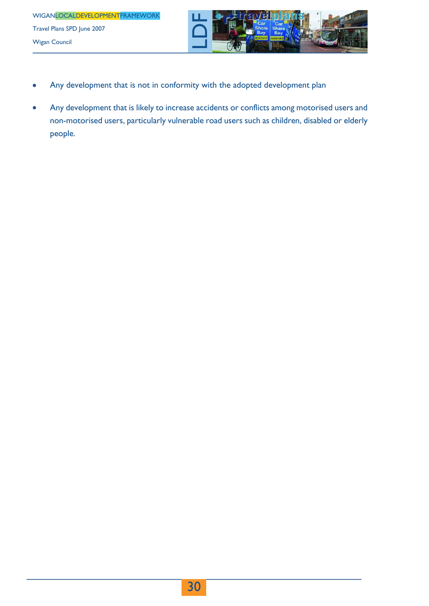

- Any development that is not in conformity with the adopted development plan
- Any development that is likely to increase accidents or conflicts among motorised users and non-motorised users, particularly vulnerable road users such as children, disabled or elderly people.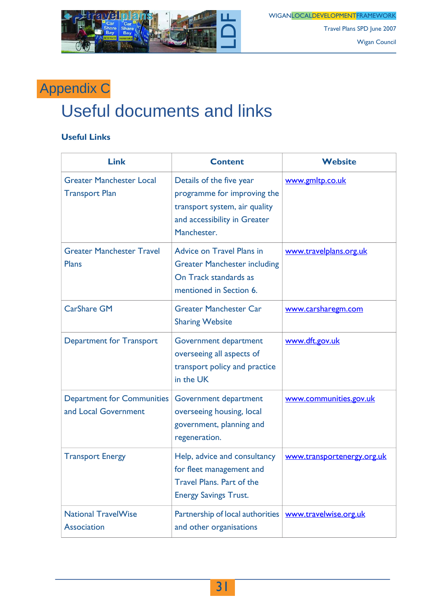

Wigan Council

Travel Plans SPD June 2007

## Appendix C

## Useful documents and links

#### **Useful Links**

| <b>Link</b>                                               | <b>Content</b>                                                                                                                          | <b>Website</b>             |
|-----------------------------------------------------------|-----------------------------------------------------------------------------------------------------------------------------------------|----------------------------|
| <b>Greater Manchester Local</b><br><b>Transport Plan</b>  | Details of the five year<br>programme for improving the<br>transport system, air quality<br>and accessibility in Greater<br>Manchester. | www.gmltp.co.uk            |
| <b>Greater Manchester Travel</b><br><b>Plans</b>          | <b>Advice on Travel Plans in</b><br><b>Greater Manchester including</b><br>On Track standards as<br>mentioned in Section 6.             | www.travelplans.org.uk     |
| <b>CarShare GM</b>                                        | <b>Greater Manchester Car</b><br><b>Sharing Website</b>                                                                                 | www.carsharegm.com         |
| <b>Department for Transport</b>                           | Government department<br>overseeing all aspects of<br>transport policy and practice<br>in the UK                                        | www.dft.gov.uk             |
| <b>Department for Communities</b><br>and Local Government | Government department<br>overseeing housing, local<br>government, planning and<br>regeneration.                                         | www.communities.gov.uk     |
| <b>Transport Energy</b>                                   | Help, advice and consultancy<br>for fleet management and<br><b>Travel Plans. Part of the</b><br><b>Energy Savings Trust.</b>            | www.transportenergy.org.uk |
| <b>National TravelWise</b><br><b>Association</b>          | Partnership of local authorities<br>and other organisations                                                                             | www.travelwise.org.uk      |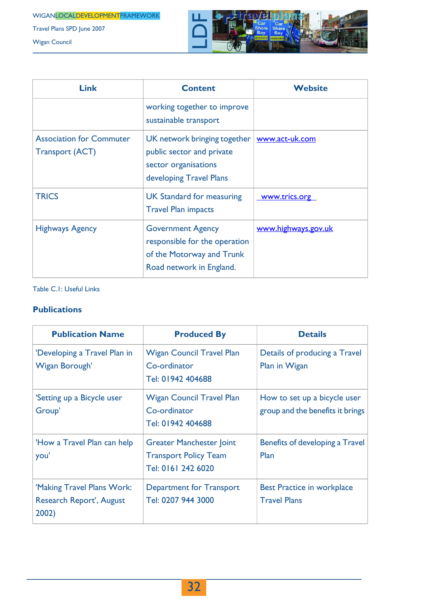WIGANLOCALDEVELOPMENTFRAMEWORK

Travel Plans SPD June 2007

Wigan Council



| <b>Link</b>                                               | <b>Content</b>                                                                                                     | <b>Website</b>      |
|-----------------------------------------------------------|--------------------------------------------------------------------------------------------------------------------|---------------------|
|                                                           | working together to improve<br>sustainable transport                                                               |                     |
| <b>Association for Commuter</b><br><b>Transport (ACT)</b> | UK network bringing together<br>public sector and private<br>sector organisations<br>developing Travel Plans       | www.act-uk.com      |
| <b>TRICS</b>                                              | <b>UK Standard for measuring</b><br><b>Travel Plan impacts</b>                                                     | www.trics.org       |
| <b>Highways Agency</b>                                    | <b>Government Agency</b><br>responsible for the operation<br>of the Motorway and Trunk<br>Road network in England. | www.highways.gov.uk |

#### Table C.1: Useful Links

#### **Publications**

| <b>Publication Name</b>                                                | <b>Produced By</b>                                                                    | <b>Details</b>                                                   |
|------------------------------------------------------------------------|---------------------------------------------------------------------------------------|------------------------------------------------------------------|
| 'Developing a Travel Plan in<br>Wigan Borough'                         | <b>Wigan Council Travel Plan</b><br>Co-ordinator<br>Tel: 01942 404688                 | Details of producing a Travel<br>Plan in Wigan                   |
| 'Setting up a Bicycle user<br>Group'                                   | <b>Wigan Council Travel Plan</b><br>Co-ordinator<br>Tel: 01942 404688                 | How to set up a bicycle user<br>group and the benefits it brings |
| 'How a Travel Plan can help<br>you'                                    | <b>Greater Manchester Joint</b><br><b>Transport Policy Team</b><br>Tel: 0161 242 6020 | Benefits of developing a Travel<br>Plan                          |
| 'Making Travel Plans Work:<br><b>Research Report', August</b><br>2002) | <b>Department for Transport</b><br>Tel: 0207 944 3000                                 | <b>Best Practice in workplace</b><br><b>Travel Plans</b>         |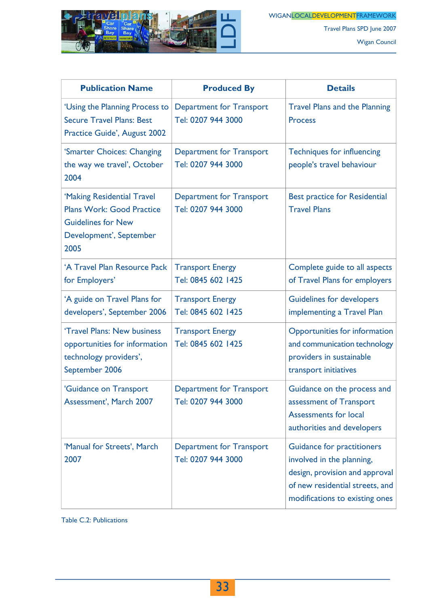

Travel Plans SPD June 2007

Wigan Council

| <b>Publication Name</b>                                                                                                        | <b>Produced By</b>                                    | <b>Details</b>                                                                                                                                                        |
|--------------------------------------------------------------------------------------------------------------------------------|-------------------------------------------------------|-----------------------------------------------------------------------------------------------------------------------------------------------------------------------|
| 'Using the Planning Process to<br><b>Secure Travel Plans: Best</b><br>Practice Guide', August 2002                             | <b>Department for Transport</b><br>Tel: 0207 944 3000 | <b>Travel Plans and the Planning</b><br><b>Process</b>                                                                                                                |
| 'Smarter Choices: Changing<br>the way we travel', October<br>2004                                                              | <b>Department for Transport</b><br>Tel: 0207 944 3000 | <b>Techniques for influencing</b><br>people's travel behaviour                                                                                                        |
| 'Making Residential Travel<br><b>Plans Work: Good Practice</b><br><b>Guidelines for New</b><br>Development', September<br>2005 | <b>Department for Transport</b><br>Tel: 0207 944 3000 | <b>Best practice for Residential</b><br><b>Travel Plans</b>                                                                                                           |
| 'A Travel Plan Resource Pack<br>for Employers'                                                                                 | <b>Transport Energy</b><br>Tel: 0845 602 1425         | Complete guide to all aspects<br>of Travel Plans for employers                                                                                                        |
| 'A guide on Travel Plans for<br>developers', September 2006                                                                    | <b>Transport Energy</b><br>Tel: 0845 602 1425         | <b>Guidelines for developers</b><br>implementing a Travel Plan                                                                                                        |
| 'Travel Plans: New business<br>opportunities for information<br>technology providers',<br>September 2006                       | <b>Transport Energy</b><br>Tel: 0845 602 1425         | <b>Opportunities for information</b><br>and communication technology<br>providers in sustainable<br>transport initiatives                                             |
| 'Guidance on Transport<br>Assessment', March 2007                                                                              | <b>Department for Transport</b><br>Tel: 0207 944 3000 | Guidance on the process and<br>assessment of Transport<br><b>Assessments for local</b><br>authorities and developers                                                  |
| 'Manual for Streets', March<br>2007                                                                                            | <b>Department for Transport</b><br>Tel: 0207 944 3000 | <b>Guidance for practitioners</b><br>involved in the planning,<br>design, provision and approval<br>of new residential streets, and<br>modifications to existing ones |

Table C.2: Publications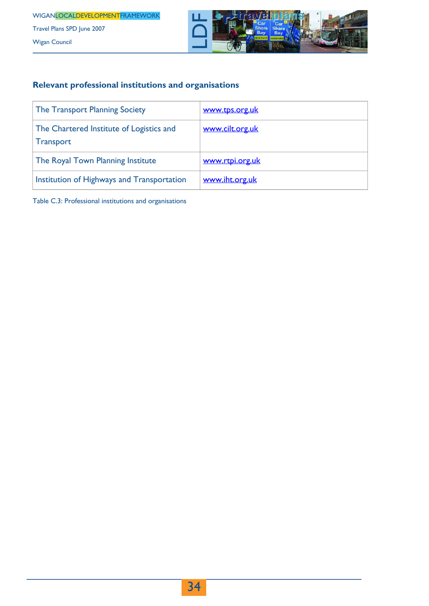

#### **Relevant professional institutions and organisations**

| The Transport Planning Society                               | www.tps.org.uk  |
|--------------------------------------------------------------|-----------------|
| The Chartered Institute of Logistics and<br><b>Transport</b> | www.cilt.org.uk |
| The Royal Town Planning Institute                            | www.rtpi.org.uk |
| Institution of Highways and Transportation                   | www.iht.org.uk  |

Table C.3: Professional institutions and organisations